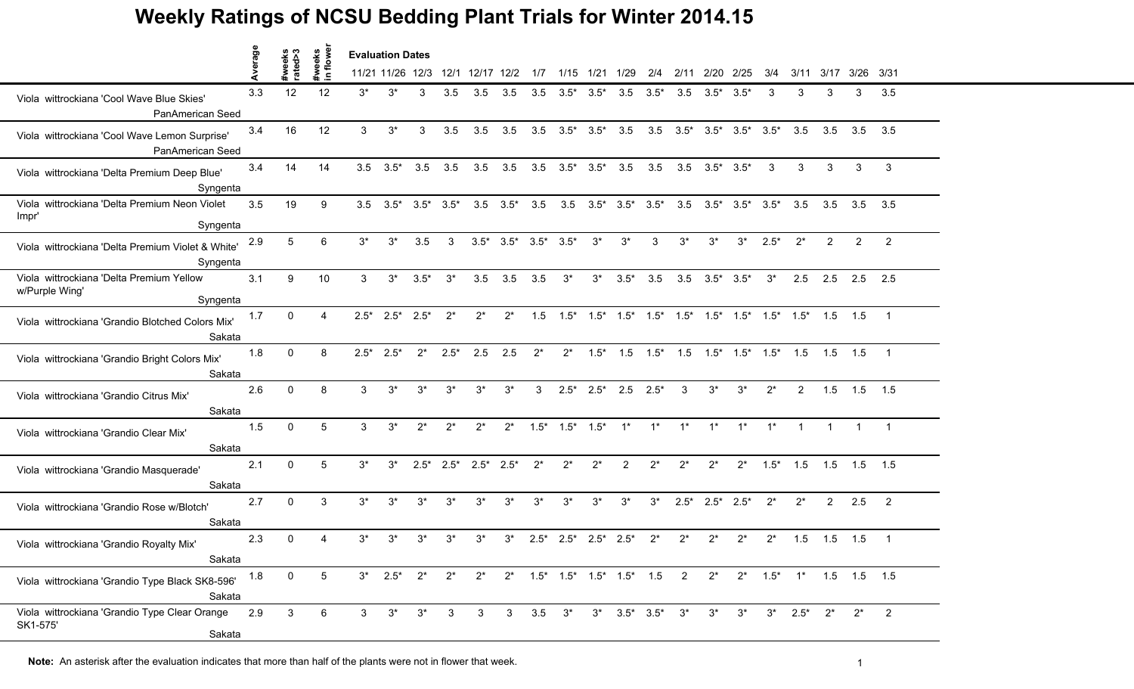|                                                                        | erage | #weeks<br>rated>3 | #weeks<br>in floweı | <b>Evaluation Dates</b> |                  |                         |              |                |                         |            |                                                           |                               |                |        |                             |                         |                                                                                           |        |                |                   |                   |                          |
|------------------------------------------------------------------------|-------|-------------------|---------------------|-------------------------|------------------|-------------------------|--------------|----------------|-------------------------|------------|-----------------------------------------------------------|-------------------------------|----------------|--------|-----------------------------|-------------------------|-------------------------------------------------------------------------------------------|--------|----------------|-------------------|-------------------|--------------------------|
|                                                                        |       |                   |                     |                         | 11/21 11/26 12/3 |                         | 12/1         | 12/17 12/2     |                         | 1/7        | 1/15                                                      | 1/21                          | 1/29           | 2/4    | 2/11                        | 2/20                    | 2/25                                                                                      | 3/4    | 3/11           | 3/17              | $3/26$ $3/31$     |                          |
| Viola wittrockiana 'Cool Wave Blue Skies'<br>PanAmerican Seed          | 3.3   | 12 <sup>2</sup>   | 12                  | $3^*$                   | $3^*$            | 3                       | 3.5          | 3.5            | 3.5                     | 3.5        |                                                           | $3.5^*$ $3.5^*$               | 3.5            | $3.5*$ | 3.5                         | $3.5*$                  | 3.5'                                                                                      | 3      | 3              | 3                 | 3                 | 3.5                      |
| Viola wittrockiana 'Cool Wave Lemon Surprise'<br>PanAmerican Seed      | 3.4   | 16                | 12                  | 3                       | $3^*$            | 3                       | 3.5          | 3.5            | 3.5                     | 3.5        |                                                           | $3.5^*$ $3.5^*$               | 3.5            | 3.5    |                             | $3.5^*$ $3.5^*$         | $3.5^*$ $3.5^*$                                                                           |        | 3.5            | 3.5               | 3.5               | 3.5                      |
| Viola wittrockiana 'Delta Premium Deep Blue'<br>Syngenta               | 3.4   | 14                | 14                  | 3.5                     | $3.5*$           | 3.5                     | 3.5          | 3.5            | 3.5                     | 3.5        |                                                           | $3.5^*$ $3.5^*$               | 3.5            | 3.5    |                             | $3.5$ $3.5^*$ $3.5^*$   |                                                                                           | 3      | 3              | 3                 | 3                 | 3                        |
| Viola wittrockiana 'Delta Premium Neon Violet<br>Impr'<br>Syngenta     | 3.5   | 19                | 9                   | 3.5                     |                  | $3.5^*$ $3.5^*$ $3.5^*$ |              |                | $3.5\quad 3.5^*$        | 3.5        |                                                           | $3.5$ $3.5^*$ $3.5^*$ $3.5^*$ |                |        |                             |                         | $3.5$ $3.5^*$ $3.5^*$ $3.5^*$                                                             |        | 3.5            | 3.5               | 3.5               | 3.5                      |
| Viola wittrockiana 'Delta Premium Violet & White'<br>Syngenta          | 2.9   | 5                 | 6                   | $3^*$                   | $3^*$            | 3.5                     | 3            |                | $3.5^*$ $3.5^*$         | $3.5*$     | $3.5*$                                                    | $3^*$                         | $3^*$          | 3      | $3*$                        | $3^*$                   | $3^*$                                                                                     | $2.5*$ | $2^*$          | 2                 | $\overline{2}$    | $\overline{2}$           |
| Viola wittrockiana 'Delta Premium Yellow<br>w/Purple Wing'<br>Syngenta | 3.1   | 9                 | 10                  | 3                       | $3^*$            | $3.5*$                  | $3^*$        | 3.5            | 3.5                     | 3.5        | $3^*$                                                     | $3^*$                         | $3.5*$         | 3.5    | 3.5                         | $3.5*$                  | $3.5*$                                                                                    | $3^*$  | 2.5            | 2.5               | 2.5               | 2.5                      |
| Viola wittrockiana 'Grandio Blotched Colors Mix'<br>Sakata             | 1.7   | $\Omega$          | 4                   | $2.5*$                  | $2.5^*$ 2.5*     |                         | $2^*$        | $2^*$          | $2^*$                   | 1.5        |                                                           |                               |                |        |                             |                         | $1.5^*$ $1.5^*$ $1.5^*$ $1.5^*$ $1.5^*$ $1.5^*$ $1.5^*$ $1.5^*$ $1.5^*$ $1.5$ $1.5$ $1.5$ |        |                |                   |                   | $\overline{\phantom{1}}$ |
| Viola wittrockiana 'Grandio Bright Colors Mix'<br>Sakata               | 1.8   | $\Omega$          | 8                   | $2.5*$                  | $2.5*$           | $2^*$                   | $2.5*$       | 2.5            | 2.5                     | $2^*$      | $2^*$                                                     | $1.5*$                        | 1.5            |        |                             |                         | $1.5^*$ $1.5$ $1.5^*$ $1.5^*$ $1.5^*$ $1.5$                                               |        |                | 1.5               | 1.5               | $\overline{1}$           |
| Viola wittrockiana 'Grandio Citrus Mix'<br>Sakata                      | 2.6   | $\Omega$          | 8                   | 3                       | $3^*$            | $3^*$                   | $3^*$        | $3^*$          | $3^*$                   | 3          |                                                           | $2.5^*$ $2.5^*$ 2.5           |                | $2.5*$ | 3                           | $3^*$                   | $3^*$                                                                                     | $2^*$  | $\overline{2}$ |                   | $1.5$ $1.5$ $1.5$ |                          |
| Viola wittrockiana 'Grandio Clear Mix'<br>Sakata                       | 1.5   | $\Omega$          | 5                   | 3                       | $3^*$            | $2^*$                   | $2^*$        | $2^*$          | $2^*$                   | $1.5*$     | $1.5^*$ $1.5^*$                                           |                               | $1^*$          | $1^*$  | $1^*$                       | $1^*$                   | $1^*$                                                                                     | $1*$   |                |                   |                   | $\overline{1}$           |
| Viola wittrockiana 'Grandio Masquerade'<br>Sakata                      | 2.1   | $\Omega$          | 5                   | $3^*$                   | $3^*$            |                         | $2.5^*$ 2.5* | $2.5^*$ 2.5*   |                         | $2^*$      | $2^*$                                                     | $2^*$                         | $\overline{2}$ | $2^*$  | $2^*$                       | $2^*$                   | $2^*$                                                                                     | $1.5*$ | 1.5            | $1.5$ $1.5$ $1.5$ |                   |                          |
| Viola wittrockiana 'Grandio Rose w/Blotch'<br>Sakata                   | 2.7   | $\mathbf{0}$      | 3                   | $3^*$                   | $3^*$            | $3^*$                   | $3^*$        | $3^*$          | $3^*$                   | $3^*$      | $3^*$                                                     | $3^*$                         | $3^*$          | $3^*$  |                             | $2.5^*$ $2.5^*$ $2.5^*$ |                                                                                           | $2^*$  | $2^*$          | $\overline{2}$    | 2.5               | $\overline{2}$           |
| Viola wittrockiana 'Grandio Royalty Mix'<br>Sakata                     | 2.3   | $\Omega$          |                     | $3^*$                   | $3^*$            | $3^*$                   | $3^*$        | $3^*$          | $3^*$                   | $2.5*$     |                                                           | $2.5^*$ 2.5* 2.5*             |                | $2^*$  | $2^*$                       | $2^*$                   | $2^*$                                                                                     | $2^*$  | 1.5            | $1.5$ 1.5         |                   | $\overline{1}$           |
| Viola wittrockiana 'Grandio Type Black SK8-596'<br>Sakata              | 1.8   | $\mathbf{0}$      | 5                   |                         | $3^*$ 2.5* $2^*$ |                         | $2^*$        |                |                         |            | 2* 2* 1.5* 1.5* 1.5* 1.5* 1.5 2 2* 2* 1.5* 1* 1.5 1.5 1.5 |                               |                |        |                             |                         |                                                                                           |        |                |                   |                   |                          |
| Viola wittrockiana 'Grandio Type Clear Orange<br>SK1-575'<br>Sakata    | 2.9   | $\mathbf{3}$      | 6                   | $\mathbf{3}$            | $3^*$            | $3^*$                   | 3            | 3 <sup>7</sup> | $\overline{\mathbf{3}}$ | $3.5\ 3^*$ |                                                           |                               |                |        | $3^*$ $3.5^*$ $3.5^*$ $3^*$ | $3^*$                   | $3^*$                                                                                     |        | $3^*$ 2.5*     | $2^{*}$           | $2^*$             | $\overline{\phantom{a}}$ |

Note: An asterisk after the evaluation indicates that more than half of the plants were not in flower that week.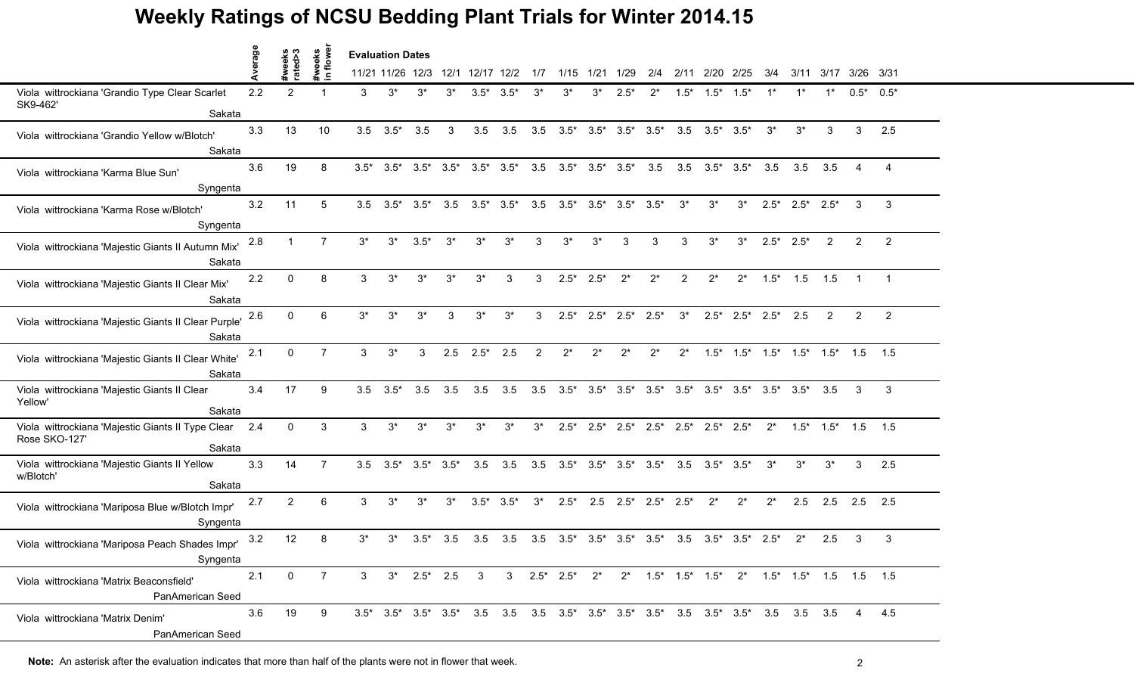|                                                                                  |         |                   |                    |              | <b>Evaluation Dates</b>                         |                 |       |                         |        |                |                                                                        |                         |                                 |                               |                                 |                       |                             |        |                                                     |             |                |                |
|----------------------------------------------------------------------------------|---------|-------------------|--------------------|--------------|-------------------------------------------------|-----------------|-------|-------------------------|--------|----------------|------------------------------------------------------------------------|-------------------------|---------------------------------|-------------------------------|---------------------------------|-----------------------|-----------------------------|--------|-----------------------------------------------------|-------------|----------------|----------------|
|                                                                                  | Average | #weeks<br>rated>3 | #weeks<br>in flowe |              | 11/21 11/26 12/3 12/1                           |                 |       | 12/17 12/2              |        | 1/7            | 1/15                                                                   | 1/21                    | 1/29                            | 2/4                           | 2/11                            | 2/20                  | 2/25                        | 3/4    | 3/11                                                |             | 3/17 3/26 3/31 |                |
| Viola wittrockiana 'Grandio Type Clear Scarlet<br>SK9-462'                       | 2.2     | $\overline{2}$    |                    | 3            | $3^*$                                           | 3*              |       | $3.5*$                  | $3.5*$ |                | $3^*$                                                                  | 3*                      | $2.5*$                          | $2^*$                         | $1.5*$                          | $1.5*$                | $1.5*$                      |        |                                                     |             | $0.5*$         | $0.5*$         |
| Sakata                                                                           |         |                   |                    |              |                                                 |                 |       |                         |        |                |                                                                        |                         |                                 |                               |                                 |                       |                             |        |                                                     |             |                |                |
| Viola wittrockiana 'Grandio Yellow w/Blotch'<br>Sakata                           | 3.3     | 13                | 10                 | 3.5          | $3.5*$                                          | 3.5             | 3     | 3.5                     | 3.5    | 3.5            |                                                                        |                         | $3.5^*$ $3.5^*$ $3.5^*$ $3.5^*$ |                               |                                 | $3.5$ $3.5^*$ $3.5^*$ |                             | $3^*$  | $3^*$                                               | 3           | 3              | 2.5            |
| Viola wittrockiana 'Karma Blue Sun'                                              | 3.6     | 19                | 8                  |              | $3.5^*$ $3.5^*$ $3.5^*$ $3.5^*$ $3.5^*$ $3.5^*$ |                 |       |                         |        | 3.5            |                                                                        | $3.5^*$ $3.5^*$ $3.5^*$ |                                 | 3.5                           |                                 |                       | $3.5$ $3.5^*$ $3.5^*$ $3.5$ |        | 3.5                                                 | 3.5         |                |                |
| Syngenta                                                                         |         |                   |                    |              |                                                 |                 |       |                         |        |                |                                                                        |                         |                                 |                               |                                 |                       |                             |        |                                                     |             |                |                |
| Viola wittrockiana 'Karma Rose w/Blotch'<br>Syngenta                             | 3.2     | 11                | 5                  |              | $3.5$ $3.5^*$ $3.5^*$                           |                 | 3.5   | $3.5^*$ $3.5^*$         |        | 3.5            | $3.5^*$ $3.5^*$ $3.5^*$ $3.5^*$                                        |                         |                                 |                               | $3^*$                           | $3^*$                 | $3^*$                       |        | $2.5^*$ $2.5^*$ $2.5^*$                             |             | 3              | 3              |
| Viola wittrockiana 'Majestic Giants II Autumn Mix'<br>Sakata                     | 2.8     |                   | $\overline{7}$     | $3^*$        | $3^*$                                           | $3.5*$          | $3^*$ | $3^*$                   | $3^*$  | 3              | $3*$                                                                   | $3*$                    |                                 | 3                             | 3                               | $3^*$                 | $3^*$                       | $2.5*$ | $2.5*$                                              | 2           | $\overline{2}$ | $\overline{2}$ |
| Viola wittrockiana 'Majestic Giants II Clear Mix'<br>Sakata                      | 2.2     | $\Omega$          | 8                  | 3            | $3^*$                                           | $3^*$           | $3^*$ | $3^*$                   | 3      | 3              |                                                                        | $2.5^*$ 2.5*            | $2^*$                           | $2^*$                         | $\overline{2}$                  | $2^*$                 | $2^*$                       | $1.5*$ | 1.5                                                 | 1.5         | $\mathbf{1}$   | $\overline{1}$ |
| Viola wittrockiana 'Majestic Giants II Clear Purple'<br>Sakata                   | 2.6     | $\Omega$          | 6                  | $3^*$        | $3^*$                                           | $3^*$           | 3     | $3^*$                   | $3^*$  | 3              | $2.5*$                                                                 | $2.5^*$ 2.5*            |                                 | $2.5*$                        | $3^*$                           |                       | $2.5^*$ 2.5* 2.5*           |        | 2.5                                                 | 2           | 2              | 2              |
| Viola wittrockiana 'Majestic Giants II Clear White'<br>Sakata                    | 2.1     | 0                 | $\overline{7}$     | $\mathbf{3}$ | $3^*$                                           | 3               | 2.5   | $2.5^*$ 2.5             |        | $\overline{2}$ | $2^*$                                                                  | $2^*$                   | $2^*$                           | $2^*$                         | $2^*$                           |                       |                             |        | $1.5^*$ $1.5^*$ $1.5^*$ $1.5^*$ $1.5^*$ $1.5^*$ 1.5 |             |                | 1.5            |
| Viola wittrockiana 'Majestic Giants II Clear<br>Yellow'<br>Sakata                | 3.4     | 17                | 9                  | 3.5          | $3.5*$                                          | 3.5             | 3.5   | 3.5                     | 3.5    | 3.5            |                                                                        |                         |                                 |                               |                                 |                       |                             |        |                                                     | 3.5         | 3              | 3              |
| Viola wittrockiana 'Majestic Giants II Type Clear 2.4<br>Rose SKO-127'<br>Sakata |         | $\mathbf{0}$      | 3                  | 3            | $3^*$                                           | $3^*$           | $3^*$ | $3^*$                   | $3^*$  | $3^*$          | $2.5*$                                                                 | $2.5^*$                 | $2.5*$                          |                               | $2.5^*$ $2.5^*$ $2.5^*$ $2.5^*$ |                       |                             | $2^*$  | $1.5*$                                              | $1.5^*$ 1.5 |                | 1.5            |
| Viola wittrockiana 'Majestic Giants II Yellow<br>w/Blotch'<br>Sakata             | 3.3     | 14                | $\overline{7}$     | 3.5          | $3.5*$                                          | $3.5^*$ $3.5^*$ |       | 3.5                     | 3.5    | 3.5            |                                                                        |                         | $3.5^*$ $3.5^*$ $3.5^*$ $3.5^*$ |                               |                                 | $3.5$ $3.5^*$ $3.5^*$ |                             | $3^*$  | $3^*$                                               | $3^*$       | 3              | 2.5            |
| Viola wittrockiana 'Mariposa Blue w/Blotch Impr'<br>Syngenta                     | 2.7     | $\overline{2}$    | 6                  | 3            | $3^*$                                           | $3^*$           | $3^*$ | $3.5^*$ $3.5^*$         |        | $3^*$          | $2.5*$                                                                 |                         |                                 | $2.5$ $2.5^*$ $2.5^*$ $2.5^*$ |                                 | $2^*$                 | $2^*$                       | $2^*$  | 2.5                                                 | 2.5         | 2.5            | 2.5            |
| Viola wittrockiana 'Mariposa Peach Shades Impr'<br>Syngenta                      | 3.2     | 12                | 8                  | $3^*$        | $3^*$                                           | $3.5*$          | 3.5   | 3.5                     | 3.5    |                | 3.5 3.5* 3.5* 3.5* 3.5* 3.5 3.5* 3.5* 2.5*                             |                         |                                 |                               |                                 |                       |                             |        |                                                     | 2.5         | 3              | 3              |
| Viola wittrockiana 'Matrix Beaconsfield'<br>PanAmerican Seed                     | 2.1     | 0                 | $\overline{7}$     | 3            |                                                 | $3^*$ 2.5* 2.5  |       | $\overline{\mathbf{3}}$ |        |                | 3  2.5*  2.5*  2*  2*  1.5*  1.5*  1.5*  2*  1.5*  1.5*  1.5  1.5  1.5 |                         |                                 |                               |                                 |                       |                             |        |                                                     |             |                |                |
| Viola wittrockiana 'Matrix Denim'<br>PanAmerican Seed                            | 3.6     | 19                | 9                  |              |                                                 |                 |       |                         |        |                |                                                                        |                         |                                 |                               |                                 |                       |                             |        |                                                     |             | $\overline{4}$ | 4.5            |

**Note:** An asterisk after the evaluation indicates that more than half of the plants were not in flower that week.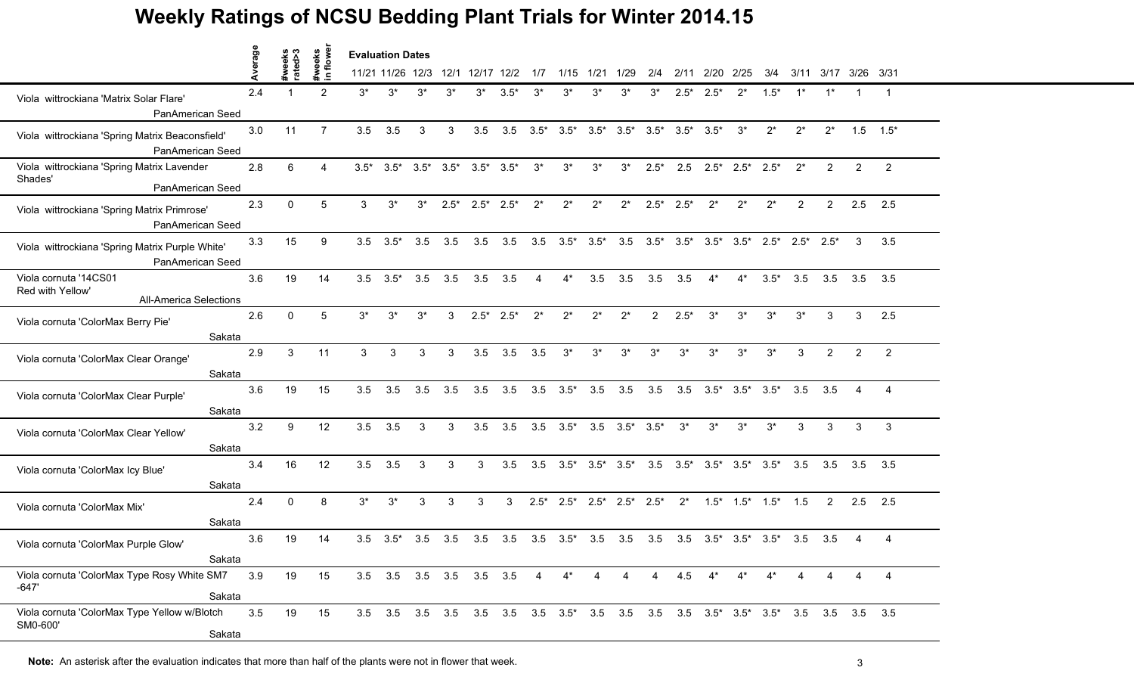|                                                                            | rage |                   |                    |        | <b>Evaluation Dates</b> |                         |         |                 |        |         |        |                         |        |                |                         |                  |                                       |         |        |                |                |                |
|----------------------------------------------------------------------------|------|-------------------|--------------------|--------|-------------------------|-------------------------|---------|-----------------|--------|---------|--------|-------------------------|--------|----------------|-------------------------|------------------|---------------------------------------|---------|--------|----------------|----------------|----------------|
|                                                                            | ⋖    | #weeks<br>rated>3 | #weeks<br>in flowe |        | 11/21 11/26 12/3        |                         | 12/1    | 12/17 12/2      |        | 1/7     | 1/15   | 1/21 1/29               |        | 2/4            | 2/11                    | 2/20             | 2/25                                  | 3/4     | 3/11   |                | 3/17 3/26 3/31 |                |
| Viola wittrockiana 'Matrix Solar Flare'<br>PanAmerican Seed                | 2.4  |                   | 2                  | $3^*$  | $3^*$                   | $3^*$                   | 3*      | $3^*$           | $3.5*$ | $3^*$   | $3^*$  | $3^*$                   | 3*     | 3*             | $2.5^*$                 | $2.5^*$          | $2^*$                                 | $1.5*$  |        | $1^*$          | 1              | $\overline{1}$ |
| Viola wittrockiana 'Spring Matrix Beaconsfield'<br>PanAmerican Seed        | 3.0  | 11                | $\overline{7}$     | 3.5    | 3.5                     | 3                       | 3       | 3.5             | 3.5    | $3.5*$  | $3.5*$ | $3.5*$                  | $3.5*$ |                | $3.5^*$ $3.5^*$ $3.5^*$ |                  | $3^*$                                 | $2^*$   | $2^*$  | $2^*$          |                | $1.5$ $1.5^*$  |
| Viola wittrockiana 'Spring Matrix Lavender<br>Shades'<br>PanAmerican Seed  | 2.8  | 6                 | 4                  | $3.5*$ |                         | $3.5^*$ $3.5^*$ $3.5^*$ |         | $3.5^*$ $3.5^*$ |        | $3^*$   | $3^*$  | $3^*$                   | $3^*$  | $2.5*$         |                         |                  | $2.5$ $2.5^*$ $2.5^*$ $2.5^*$         |         | $2^*$  | $\overline{2}$ | 2              | $\overline{2}$ |
| Viola wittrockiana 'Spring Matrix Primrose'<br>PanAmerican Seed            | 2.3  | $\Omega$          | 5                  | 3      | $3^*$                   | $3^*$                   | $2.5^*$ | $2.5^*$ 2.5*    |        | $2^*$   | $2^*$  | $2^*$                   | $2^*$  | $2.5*$         | $2.5*$                  | $2^*$            | $2^*$                                 | $2^*$   | 2      | $\overline{2}$ | 2.5            | 2.5            |
| Viola wittrockiana 'Spring Matrix Purple White'<br>PanAmerican Seed        | 3.3  | 15                | 9                  | 3.5    | $3.5*$                  | 3.5                     | 3.5     | 3.5             | 3.5    | 3.5     | $3.5*$ | $3.5*$                  | 3.5    |                | $3.5^*$ $3.5^*$ $3.5^*$ |                  | $3.5*$                                | $2.5^*$ | $2.5*$ | $2.5*$         | 3              | 3.5            |
| Viola cornuta '14CS01<br>Red with Yellow'<br><b>All-America Selections</b> | 3.6  | 19                | 14                 | 3.5    | $3.5*$                  | 3.5                     | 3.5     | 3.5             | 3.5    | 4       | $4^*$  | 3.5                     | 3.5    | 3.5            | 3.5                     | $4^*$            | $4^*$                                 | $3.5*$  | 3.5    | 3.5            | 3.5            | 3.5            |
| Viola cornuta 'ColorMax Berry Pie'<br>Sakata                               | 2.6  | $\mathbf{0}$      | 5                  | $3^*$  | $3^*$                   | $3^*$                   | 3       | $2.5*$          | $2.5*$ | $2^*$   | $2^*$  | $2^*$                   | $2^*$  | $\overline{2}$ | $2.5*$                  | $3^*$            | $3^*$                                 | $3^*$   | $3^*$  | 3              | 3              | 2.5            |
| Viola cornuta 'ColorMax Clear Orange'<br>Sakata                            | 2.9  | 3                 | 11                 | 3      | 3                       | 3                       | 3       | 3.5             | 3.5    | 3.5     | $3^*$  | $3^*$                   | $3^*$  | $3^*$          | $3^*$                   | $3^*$            | $3^*$                                 | $3^*$   | 3      | $\overline{2}$ | $\overline{2}$ | $\overline{2}$ |
| Viola cornuta 'ColorMax Clear Purple'<br>Sakata                            | 3.6  | 19                | 15                 | 3.5    | 3.5                     | 3.5                     | 3.5     | 3.5             | 3.5    | 3.5     | $3.5*$ | 3.5                     | 3.5    | 3.5            |                         | $3.5\quad 3.5^*$ | $3.5^*$ $3.5^*$                       |         | 3.5    | 3.5            |                | 4              |
| Viola cornuta 'ColorMax Clear Yellow'<br>Sakata                            | 3.2  | 9                 | 12                 | 3.5    | 3.5                     | 3                       | 3       | 3.5             | 3.5    | 3.5     | $3.5*$ | 3.5                     | $3.5*$ | $3.5*$         | $3^*$                   | $3^*$            | $3^*$                                 | $3^*$   | 3      | 3              | 3              | $\mathbf{3}$   |
| Viola cornuta 'ColorMax Icy Blue'<br>Sakata                                | 3.4  | 16                | 12                 | 3.5    | 3.5                     | 3                       | 3       | 3               | 3.5    | 3.5     |        | $3.5^*$ $3.5^*$ $3.5^*$ |        |                |                         |                  | $3.5$ $3.5^*$ $3.5^*$ $3.5^*$ $3.5^*$ |         | 3.5    | 3.5            | $3.5$ $3.5$    |                |
| Viola cornuta 'ColorMax Mix'<br>Sakata                                     | 2.4  | $\Omega$          | 8                  | $3^*$  | $3^*$                   | 3                       | 3       | 3               | 3      | $2.5^*$ |        | $2.5^*$ 2.5* $2.5^*$    |        | $2.5*$         | $2^*$                   |                  | $1.5^*$ $1.5^*$ $1.5^*$               |         | 1.5    | 2              | 2.5            | 2.5            |
| Viola cornuta 'ColorMax Purple Glow'<br>Sakata                             | 3.6  | 19                | 14                 |        | $3.5\quad 3.5^*$        | 3.5                     | 3.5     | 3.5             | 3.5    | 3.5     | $3.5*$ | 3.5                     | 3.5    | 3.5            |                         |                  | $3.5$ $3.5^*$ $3.5^*$ $3.5^*$         |         | 3.5    | 3.5            |                | 4              |
| Viola cornuta 'ColorMax Type Rosy White SM7<br>$-647'$<br>Sakata           | 3.9  | 19                | 15                 |        | 3.5 3.5 3.5 3.5 3.5 3.5 |                         |         |                 |        | 4       | $4^*$  | 4                       | 4      | 4              | 4.5                     | $4^*$            | $4^*$                                 | $4^*$   |        |                | 4              | 4              |
| Viola cornuta 'ColorMax Type Yellow w/Blotch<br>SM0-600'<br>Sakata         | 3.5  | 19                | 15                 |        |                         |                         |         |                 |        |         |        |                         |        |                |                         |                  |                                       |         |        |                |                |                |

**Note:** An asterisk after the evaluation indicates that more than half of the plants were not in flower that week.